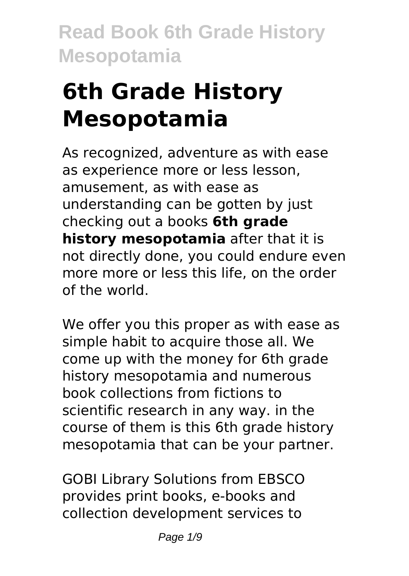# **6th Grade History Mesopotamia**

As recognized, adventure as with ease as experience more or less lesson, amusement, as with ease as understanding can be gotten by just checking out a books **6th grade history mesopotamia** after that it is not directly done, you could endure even more more or less this life, on the order of the world.

We offer you this proper as with ease as simple habit to acquire those all. We come up with the money for 6th grade history mesopotamia and numerous book collections from fictions to scientific research in any way. in the course of them is this 6th grade history mesopotamia that can be your partner.

GOBI Library Solutions from EBSCO provides print books, e-books and collection development services to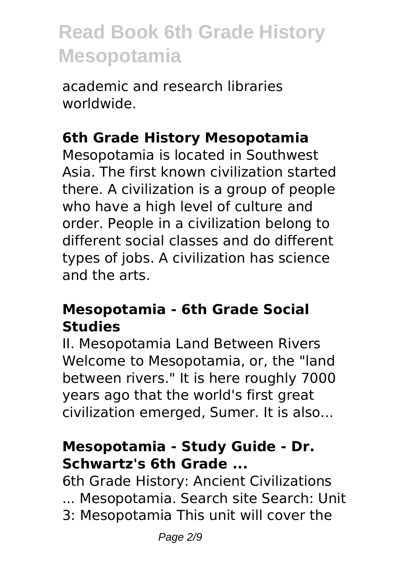academic and research libraries worldwide.

### **6th Grade History Mesopotamia**

Mesopotamia is located in Southwest Asia. The first known civilization started there. A civilization is a group of people who have a high level of culture and order. People in a civilization belong to different social classes and do different types of jobs. A civilization has science and the arts.

#### **Mesopotamia - 6th Grade Social Studies**

II. Mesopotamia Land Between Rivers Welcome to Mesopotamia, or, the "land between rivers." It is here roughly 7000 years ago that the world's first great civilization emerged, Sumer. It is also...

### **Mesopotamia - Study Guide - Dr. Schwartz's 6th Grade ...**

6th Grade History: Ancient Civilizations ... Mesopotamia. Search site Search: Unit 3: Mesopotamia This unit will cover the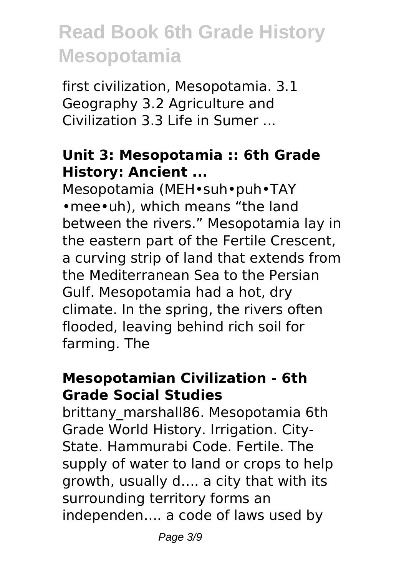first civilization, Mesopotamia. 3.1 Geography 3.2 Agriculture and Civilization 3.3 Life in Sumer ...

#### **Unit 3: Mesopotamia :: 6th Grade History: Ancient ...**

Mesopotamia (MEH•suh•puh•TAY •mee•uh), which means "the land between the rivers." Mesopotamia lay in the eastern part of the Fertile Crescent, a curving strip of land that extends from the Mediterranean Sea to the Persian Gulf. Mesopotamia had a hot, dry climate. In the spring, the rivers often flooded, leaving behind rich soil for farming. The

### **Mesopotamian Civilization - 6th Grade Social Studies**

brittany\_marshall86. Mesopotamia 6th Grade World History. Irrigation. City-State. Hammurabi Code. Fertile. The supply of water to land or crops to help growth, usually d…. a city that with its surrounding territory forms an independen…. a code of laws used by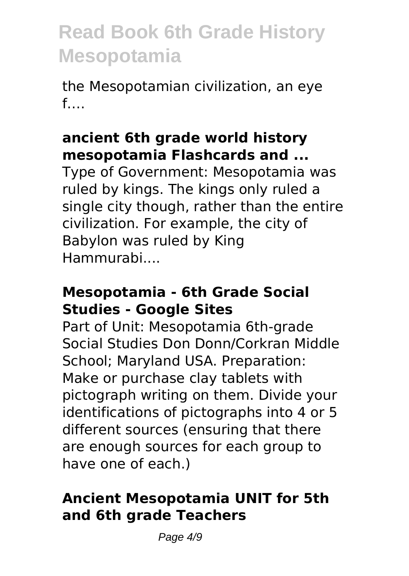the Mesopotamian civilization, an eye f….

### **ancient 6th grade world history mesopotamia Flashcards and ...**

Type of Government: Mesopotamia was ruled by kings. The kings only ruled a single city though, rather than the entire civilization. For example, the city of Babylon was ruled by King Hammurabi....

#### **Mesopotamia - 6th Grade Social Studies - Google Sites**

Part of Unit: Mesopotamia 6th-grade Social Studies Don Donn/Corkran Middle School; Maryland USA. Preparation: Make or purchase clay tablets with pictograph writing on them. Divide your identifications of pictographs into 4 or 5 different sources (ensuring that there are enough sources for each group to have one of each.)

### **Ancient Mesopotamia UNIT for 5th and 6th grade Teachers**

Page  $4/9$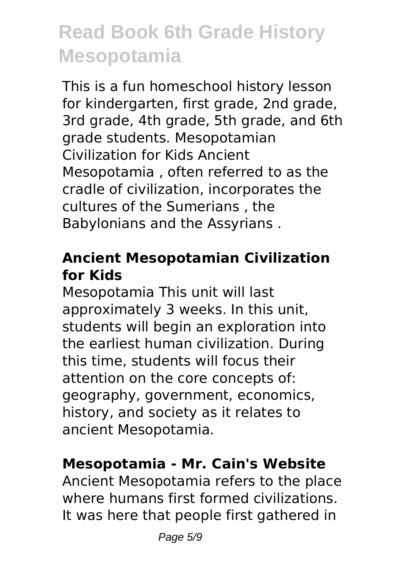This is a fun homeschool history lesson for kindergarten, first grade, 2nd grade, 3rd grade, 4th grade, 5th grade, and 6th grade students. Mesopotamian Civilization for Kids Ancient Mesopotamia , often referred to as the cradle of civilization, incorporates the cultures of the Sumerians , the Babylonians and the Assyrians .

### **Ancient Mesopotamian Civilization for Kids**

Mesopotamia This unit will last approximately 3 weeks. In this unit, students will begin an exploration into the earliest human civilization. During this time, students will focus their attention on the core concepts of: geography, government, economics, history, and society as it relates to ancient Mesopotamia.

### **Mesopotamia - Mr. Cain's Website**

Ancient Mesopotamia refers to the place where humans first formed civilizations. It was here that people first gathered in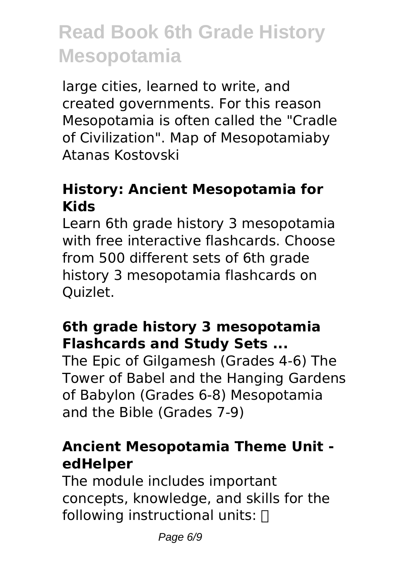large cities, learned to write, and created governments. For this reason Mesopotamia is often called the "Cradle of Civilization". Map of Mesopotamiaby Atanas Kostovski

### **History: Ancient Mesopotamia for Kids**

Learn 6th grade history 3 mesopotamia with free interactive flashcards. Choose from 500 different sets of 6th grade history 3 mesopotamia flashcards on Quizlet.

### **6th grade history 3 mesopotamia Flashcards and Study Sets ...**

The Epic of Gilgamesh (Grades 4-6) The Tower of Babel and the Hanging Gardens of Babylon (Grades 6-8) Mesopotamia and the Bible (Grades 7-9)

### **Ancient Mesopotamia Theme Unit edHelper**

The module includes important concepts, knowledge, and skills for the following instructional units:

Page 6/9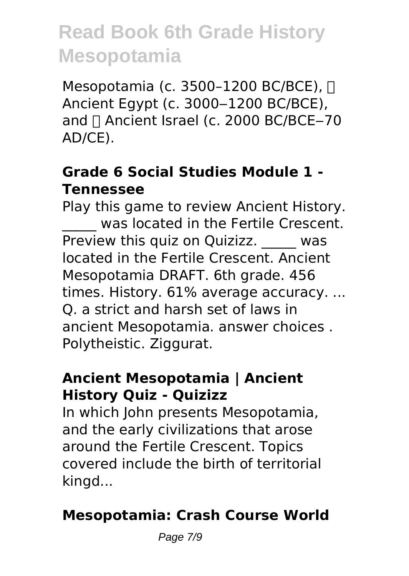Mesopotamia (c. 3500-1200 BC/BCE), ∏ Ancient Egypt (c. 3000-1200 BC/BCE), and  $\Box$  Ancient Israel (c. 2000 BC/BCE-70 AD/CE).

### **Grade 6 Social Studies Module 1 - Tennessee**

Play this game to review Ancient History. was located in the Fertile Crescent. Preview this quiz on Ouizizz. Was located in the Fertile Crescent. Ancient Mesopotamia DRAFT. 6th grade. 456 times. History. 61% average accuracy. ... Q. a strict and harsh set of laws in ancient Mesopotamia. answer choices . Polytheistic. Ziggurat.

#### **Ancient Mesopotamia | Ancient History Quiz - Quizizz**

In which John presents Mesopotamia, and the early civilizations that arose around the Fertile Crescent. Topics covered include the birth of territorial kingd...

### **Mesopotamia: Crash Course World**

Page 7/9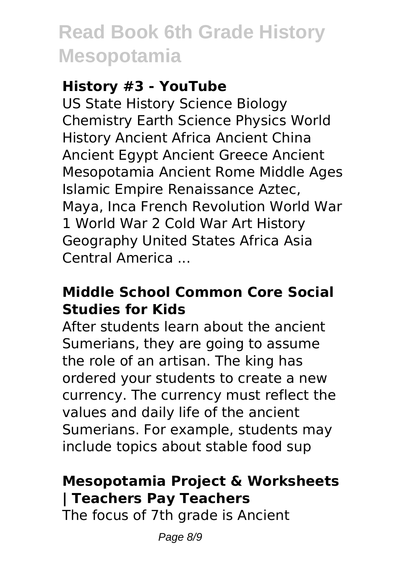### **History #3 - YouTube**

US State History Science Biology Chemistry Earth Science Physics World History Ancient Africa Ancient China Ancient Egypt Ancient Greece Ancient Mesopotamia Ancient Rome Middle Ages Islamic Empire Renaissance Aztec, Maya, Inca French Revolution World War 1 World War 2 Cold War Art History Geography United States Africa Asia Central America ...

#### **Middle School Common Core Social Studies for Kids**

After students learn about the ancient Sumerians, they are going to assume the role of an artisan. The king has ordered your students to create a new currency. The currency must reflect the values and daily life of the ancient Sumerians. For example, students may include topics about stable food sup

### **Mesopotamia Project & Worksheets | Teachers Pay Teachers**

The focus of 7th grade is Ancient